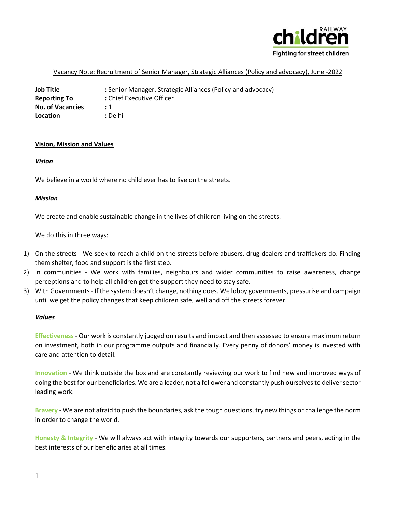

## Vacancy Note: Recruitment of Senior Manager, Strategic Alliances (Policy and advocacy), June -2022

**Job Title :** Senior Manager, Strategic Alliances (Policy and advocacy) **Reporting To :** Chief Executive Officer **No. of Vacancies :** 1 **Location :** Delhi

### **Vision, Mission and Values**

### *Vision*

We believe in a world where no child ever has to live on the streets.

### *Mission*

We create and enable sustainable change in the lives of children living on the streets.

We do this in three ways:

- 1) On the streets We seek to reach a child on the streets before abusers, drug dealers and traffickers do. Finding them shelter, food and support is the first step.
- 2) In communities We work with families, neighbours and wider communities to raise awareness, change perceptions and to help all children get the support they need to stay safe.
- 3) With Governments If the system doesn't change, nothing does. We lobby governments, pressurise and campaign until we get the policy changes that keep children safe, well and off the streets forever.

### *Values*

**Effectiveness** - Our work is constantly judged on results and impact and then assessed to ensure maximum return on investment, both in our programme outputs and financially. Every penny of donors' money is invested with care and attention to detail.

**Innovation** - We think outside the box and are constantly reviewing our work to find new and improved ways of doing the best for our beneficiaries. We are a leader, not a follower and constantly push ourselves to deliver sector leading work.

**Bravery** - We are not afraid to push the boundaries, ask the tough questions, try new things or challenge the norm in order to change the world.

**Honesty & Integrity** - We will always act with integrity towards our supporters, partners and peers, acting in the best interests of our beneficiaries at all times.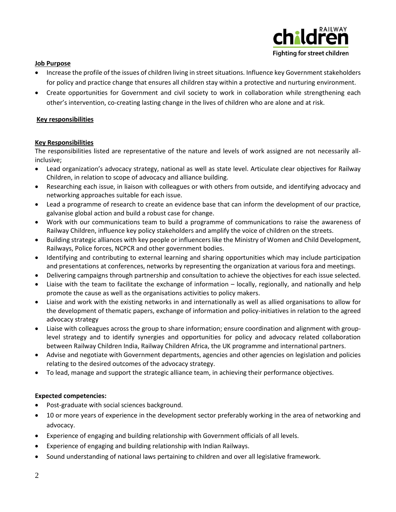

# **Job Purpose**

- Increase the profile of the issues of children living in street situations. Influence key Government stakeholders for policy and practice change that ensures all children stay within a protective and nurturing environment.
- Create opportunities for Government and civil society to work in collaboration while strengthening each other's intervention, co-creating lasting change in the lives of children who are alone and at risk.

# **Key responsibilities**

### **Key Responsibilities**

The responsibilities listed are representative of the nature and levels of work assigned are not necessarily allinclusive;

- Lead organization's advocacy strategy, national as well as state level. Articulate clear objectives for Railway Children, in relation to scope of advocacy and alliance building.
- Researching each issue, in liaison with colleagues or with others from outside, and identifying advocacy and networking approaches suitable for each issue.
- Lead a programme of research to create an evidence base that can inform the development of our practice, galvanise global action and build a robust case for change.
- Work with our communications team to build a programme of communications to raise the awareness of Railway Children, influence key policy stakeholders and amplify the voice of children on the streets.
- Building strategic alliances with key people or influencers like the Ministry of Women and Child Development, Railways, Police forces, NCPCR and other government bodies.
- Identifying and contributing to external learning and sharing opportunities which may include participation and presentations at conferences, networks by representing the organization at various fora and meetings.
- Delivering campaigns through partnership and consultation to achieve the objectives for each issue selected.
- Liaise with the team to facilitate the exchange of information locally, regionally, and nationally and help promote the cause as well as the organisations activities to policy makers.
- Liaise and work with the existing networks in and internationally as well as allied organisations to allow for the development of thematic papers, exchange of information and policy-initiatives in relation to the agreed advocacy strategy
- Liaise with colleagues across the group to share information; ensure coordination and alignment with grouplevel strategy and to identify synergies and opportunities for policy and advocacy related collaboration between Railway Children India, Railway Children Africa, the UK programme and international partners.
- Advise and negotiate with Government departments, agencies and other agencies on legislation and policies relating to the desired outcomes of the advocacy strategy.
- To lead, manage and support the strategic alliance team, in achieving their performance objectives.

# **Expected competencies:**

- Post-graduate with social sciences background.
- 10 or more years of experience in the development sector preferably working in the area of networking and advocacy.
- Experience of engaging and building relationship with Government officials of all levels.
- Experience of engaging and building relationship with Indian Railways.
- Sound understanding of national laws pertaining to children and over all legislative framework.